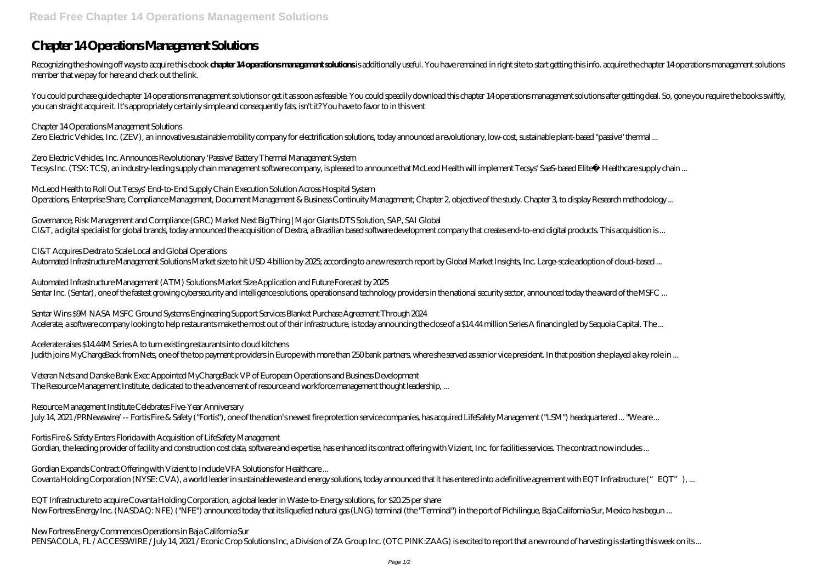# **Chapter 14 Operations Management Solutions**

Recognizing the showing off ways to acquire this ebook **chapter 14 operations management solutions** is additionally useful. You have remained in right site to start getting this info. acquire the chapter 14 operations mana member that we pay for here and check out the link.

You could purchase guide chapter 14 operations management solutions or get it as soon as feasible. You could speedily download this chapter 14 operations management solutions after getting deal. So, gone you require the bo you can straight acquire it. It's appropriately certainly simple and consequently fats, isn't it? You have to favor to in this vent

*Zero Electric Vehicles, Inc. Announces Revolutionary 'Passive' Battery Thermal Management System* Tecsys Inc. (TSX: TCS), an industry-leading supply chain management software company, is pleased to announce that McLeod Health will implement Tecsys' SaaS-based Elite™ Healthcare supply chain ...

*McLeod Health to Roll Out Tecsys' End-to-End Supply Chain Execution Solution Across Hospital System* Operations, Enterprise Share, Compliance Management, Document Management & Business Continuity Management; Chapter 2, objective of the study. Chapter 3, to display Research methodology ...

#### *Chapter 14 Operations Management Solutions*

Zero Electric Vehicles, Inc. (ZEV), an innovative sustainable mobility company for electrification solutions, today announced a revolutionary, low-cost, sustainable plant-based "passive" thermal ...

*Automated Infrastructure Management (ATM) Solutions Market Size Application and Future Forecast by 2025* Sentar Inc. (Sentar), one of the fastest growing cybersecurity and intelligence solutions, operations and technology providers in the national security sector, announced today the award of the MSFC ...

*Sentar Wins \$9M NASA MSFC Ground Systems Engineering Support Services Blanket Purchase Agreement Through 2024* Acelerate, a software company looking to help restaurants make the most out of their infrastructure, is today announcing the close of a \$14.44 million Series A financing led by Sequoia Capital. The ...

*Acelerate raises \$14.44M Series A to turn existing restaurants into cloud kitchens* Judith joins MyChargeBack from Nets, one of the top payment providers in Europe with more than 250 bank partners, where she served as senior vice president. In that position she played a key role in ...

*Governance, Risk Management and Compliance (GRC) Market Next Big Thing | Major Giants DTS Solution, SAP, SAI Global* CI&T, a digital specialist for global brands, today announced the acquisition of Dextra, a Brazilian based software development company that creates end-to-end digital products. This acquisition is ...

### *CI&T Acquires Dextra to Scale Local and Global Operations*

Automated Infrastructure Management Solutions Market size to hit USD 4 billion by 2025; according to a new research report by Global Market Insights, Inc. Large-scale adoption of cloud-based ...

*Veteran Nets and Danske Bank Exec Appointed MyChargeBack VP of European Operations and Business Development* The Resource Management Institute, dedicated to the advancement of resource and workforce management thought leadership, ...

*Resource Management Institute Celebrates Five-Year Anniversary*

July 14, 2021 /PRNewswire/ -- Fortis Fire & Safety ("Fortis"), one of the nation's newest fire protection service companies, has acquired LifeSafety Management ("LSM") headquartered ... "We are ...

*Fortis Fire & Safety Enters Florida with Acquisition of LifeSafety Management*

Gordian, the leading provider of facility and construction cost data, software and expertise, has enhanced its contract offering with Vizient, Inc. for facilities services. The contract now includes...

*Gordian Expands Contract Offering with Vizient to Include VFA Solutions for Healthcare ...* Covanta Holding Corporation (NYSE: CVA), a world leader in sustainable waste and energy solutions, today announced that it has entered into a definitive agreement with EQT Infrastructure ("EQT"), ...

*EQT Infrastructure to acquire Covanta Holding Corporation, a global leader in Waste-to-Energy solutions, for \$20.25 per share* New Fortress Energy Inc. (NASDAQ: NFE) ("NFE") announced today that its liquefied natural gas (LNG) terminal (the "Terminal") in the port of Pichilingue, Baja California Sur, Mexico has begun ...

*New Fortress Energy Commences Operations in Baja California Sur*

PENSACOLA, FL / ACCESSWIRE / July 14, 2021 / Econic Crop Solutions Inc, a Division of ZA Group Inc. (OTC PINK:ZAAG) is excited to report that a new round of harvesting is starting this week on its ...